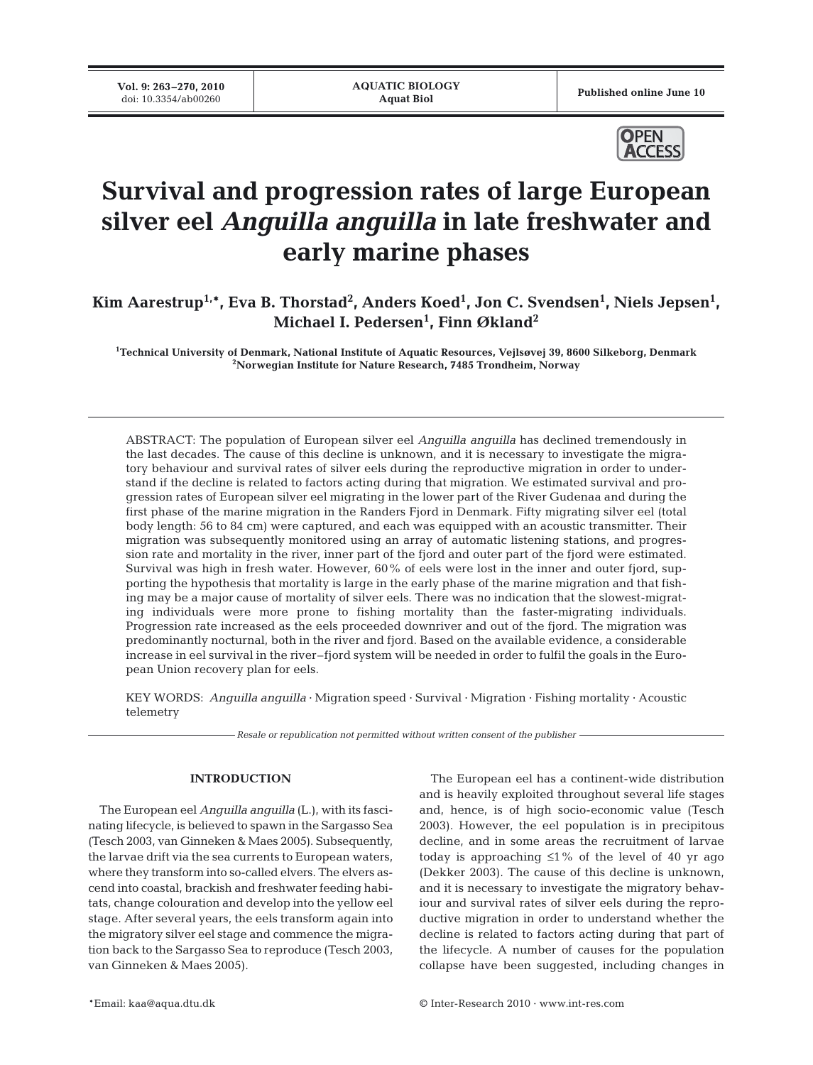**Vol. 9: 263–270, 2010**



# **Survival and progression rates of large European silver eel** *Anguilla anguilla* **in late freshwater and early marine phases**

Kim Aarestrup<sup>1,\*</sup>, Eva B. Thorstad<sup>2</sup>, Anders Koed<sup>1</sup>, Jon C. Svendsen<sup>1</sup>, Niels Jepsen<sup>1</sup>, **Michael I. Pedersen1 , Finn Økland2**

**1 Technical University of Denmark, National Institute of Aquatic Resources, Vejlsøvej 39, 8600 Silkeborg, Denmark 2 Norwegian Institute for Nature Research, 7485 Trondheim, Norway**

ABSTRACT: The population of European silver eel *Anguilla anguilla* has declined tremendously in the last decades. The cause of this decline is unknown, and it is necessary to investigate the migratory behaviour and survival rates of silver eels during the reproductive migration in order to understand if the decline is related to factors acting during that migration. We estimated survival and progression rates of European silver eel migrating in the lower part of the River Gudenaa and during the first phase of the marine migration in the Randers Fjord in Denmark. Fifty migrating silver eel (total body length: 56 to 84 cm) were captured, and each was equipped with an acoustic transmitter. Their migration was subsequently monitored using an array of automatic listening stations, and progression rate and mortality in the river, inner part of the fjord and outer part of the fjord were estimated. Survival was high in fresh water. However, 60% of eels were lost in the inner and outer fjord, supporting the hypothesis that mortality is large in the early phase of the marine migration and that fishing may be a major cause of mortality of silver eels. There was no indication that the slowest-migrating individuals were more prone to fishing mortality than the faster-migrating individuals. Progression rate increased as the eels proceeded downriver and out of the fjord. The migration was predominantly nocturnal, both in the river and fjord. Based on the available evidence, a considerable increase in eel survival in the river–fjord system will be needed in order to fulfil the goals in the European Union recovery plan for eels.

KEY WORDS: *Anguilla anguilla* · Migration speed · Survival · Migration · Fishing mortality · Acoustic telemetry

*Resale or republication not permitted without written consent of the publisher*

#### **INTRODUCTION**

The European eel *Anguilla anguilla* (L.), with its fascinating lifecycle, is believed to spawn in the Sargasso Sea (Tesch 2003, van Ginneken & Maes 2005). Subsequently, the larvae drift via the sea currents to European waters, where they transform into so-called elvers. The elvers ascend into coastal, brackish and freshwater feeding habitats, change colouration and develop into the yellow eel stage. After several years, the eels transform again into the migratory silver eel stage and commence the migration back to the Sargasso Sea to reproduce (Tesch 2003, van Ginneken & Maes 2005).

The European eel has a continent-wide distribution and is heavily exploited throughout several life stages and, hence, is of high socio-economic value (Tesch 2003). However, the eel population is in precipitous decline, and in some areas the recruitment of larvae today is approaching  $\leq 1\%$  of the level of 40 yr ago (Dekker 2003). The cause of this decline is unknown, and it is necessary to investigate the migratory behaviour and survival rates of silver eels during the reproductive migration in order to understand whether the decline is related to factors acting during that part of the lifecycle. A number of causes for the population collapse have been suggested, including changes in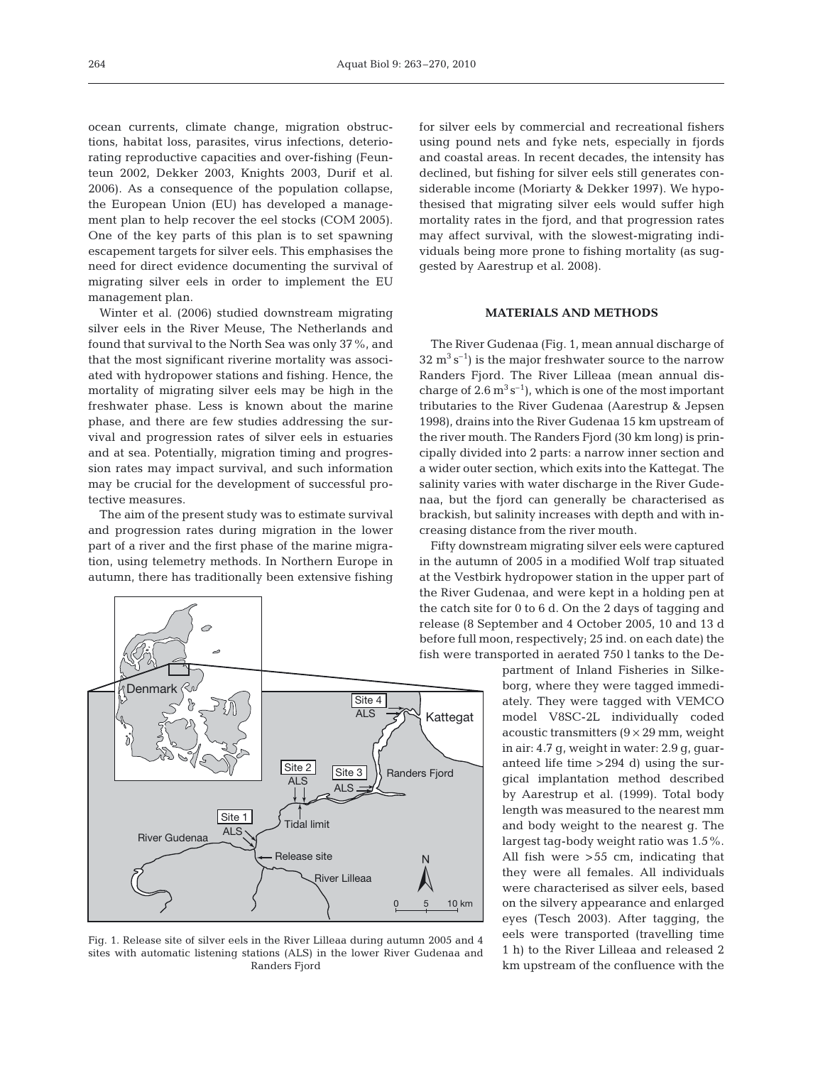ocean currents, climate change, migration obstructions, habitat loss, parasites, virus infections, deteriorating reproductive capacities and over-fishing (Feunteun 2002, Dekker 2003, Knights 2003, Durif et al. 2006). As a consequence of the population collapse, the European Union (EU) has developed a management plan to help recover the eel stocks (COM 2005). One of the key parts of this plan is to set spawning escapement targets for silver eels. This emphasises the need for direct evidence documenting the survival of migrating silver eels in order to implement the EU management plan.

Winter et al. (2006) studied downstream migrating silver eels in the River Meuse, The Netherlands and found that survival to the North Sea was only 37%, and that the most significant riverine mortality was associated with hydropower stations and fishing. Hence, the mortality of migrating silver eels may be high in the freshwater phase. Less is known about the marine phase, and there are few studies addressing the survival and progression rates of silver eels in estuaries and at sea. Potentially, migration timing and progression rates may impact survival, and such information may be crucial for the development of successful protective measures.

The aim of the present study was to estimate survival and progression rates during migration in the lower part of a river and the first phase of the marine migration, using telemetry methods. In Northern Europe in autumn, there has traditionally been extensive fishing



Fig. 1. Release site of silver eels in the River Lilleaa during autumn 2005 and 4 sites with automatic listening stations (ALS) in the lower River Gudenaa and Randers Fjord

for silver eels by commercial and recreational fishers using pound nets and fyke nets, especially in fjords and coastal areas. In recent decades, the intensity has declined, but fishing for silver eels still generates considerable income (Moriarty & Dekker 1997). We hypothesised that migrating silver eels would suffer high mortality rates in the fjord, and that progression rates may affect survival, with the slowest-migrating individuals being more prone to fishing mortality (as suggested by Aarestrup et al. 2008).

## **MATERIALS AND METHODS**

The River Gudenaa (Fig. 1, mean annual discharge of  $32 \text{ m}^3 \text{s}^{-1}$ ) is the major freshwater source to the narrow Randers Fjord. The River Lilleaa (mean annual discharge of  $2.6 \text{ m}^3 \text{ s}^{-1}$ , which is one of the most important tributaries to the River Gudenaa (Aarestrup & Jepsen 1998), drains into the River Gudenaa 15 km upstream of the river mouth. The Randers Fjord (30 km long) is principally divided into 2 parts: a narrow inner section and a wider outer section, which exits into the Kattegat. The salinity varies with water discharge in the River Gudenaa, but the fjord can generally be characterised as brackish, but salinity increases with depth and with increasing distance from the river mouth.

Fifty downstream migrating silver eels were captured in the autumn of 2005 in a modified Wolf trap situated at the Vestbirk hydropower station in the upper part of the River Gudenaa, and were kept in a holding pen at the catch site for 0 to 6 d. On the 2 days of tagging and release (8 September and 4 October 2005, 10 and 13 d before full moon, respectively; 25 ind. on each date) the fish were transported in aerated 750 l tanks to the De-

> partment of Inland Fisheries in Silkeborg, where they were tagged immediately. They were tagged with VEMCO model V8SC-2L individually coded acoustic transmitters  $(9 \times 29 \text{ mm}, \text{weight})$ in air: 4.7 g, weight in water: 2.9 g, guaranteed life time >294 d) using the surgical implantation method described by Aarestrup et al. (1999). Total body length was measured to the nearest mm and body weight to the nearest g. The largest tag-body weight ratio was 1.5%. All fish were >55 cm, indicating that they were all females. All individuals were characterised as silver eels, based on the silvery appearance and enlarged eyes (Tesch 2003). After tagging, the eels were transported (travelling time 1 h) to the River Lilleaa and released 2 km upstream of the confluence with the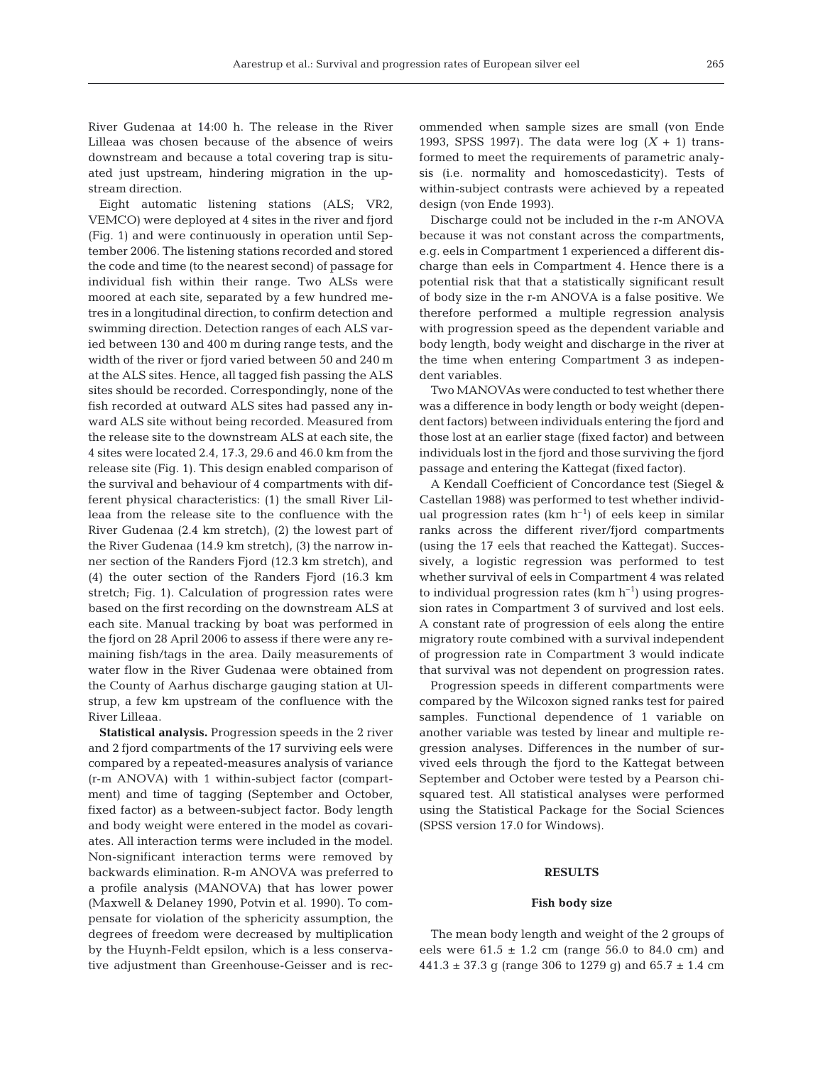River Gudenaa at 14:00 h. The release in the River Lilleaa was chosen because of the absence of weirs downstream and because a total covering trap is situated just upstream, hindering migration in the upstream direction.

Eight automatic listening stations (ALS; VR2, VEMCO) were deployed at 4 sites in the river and fjord (Fig. 1) and were continuously in operation until September 2006. The listening stations recorded and stored the code and time (to the nearest second) of passage for individual fish within their range. Two ALSs were moored at each site, separated by a few hundred metres in a longitudinal direction, to confirm detection and swimming direction. Detection ranges of each ALS varied between 130 and 400 m during range tests, and the width of the river or fjord varied between 50 and 240 m at the ALS sites. Hence, all tagged fish passing the ALS sites should be recorded. Correspondingly, none of the fish recorded at outward ALS sites had passed any inward ALS site without being recorded. Measured from the release site to the downstream ALS at each site, the 4 sites were located 2.4, 17.3, 29.6 and 46.0 km from the release site (Fig. 1). This design enabled comparison of the survival and behaviour of 4 compartments with different physical characteristics: (1) the small River Lilleaa from the release site to the confluence with the River Gudenaa (2.4 km stretch), (2) the lowest part of the River Gudenaa (14.9 km stretch), (3) the narrow inner section of the Randers Fjord (12.3 km stretch), and (4) the outer section of the Randers Fjord (16.3 km stretch; Fig. 1). Calculation of progression rates were based on the first recording on the downstream ALS at each site. Manual tracking by boat was performed in the fjord on 28 April 2006 to assess if there were any remaining fish/tags in the area. Daily measurements of water flow in the River Gudenaa were obtained from the County of Aarhus discharge gauging station at Ulstrup, a few km upstream of the confluence with the River Lilleaa.

**Statistical analysis.** Progression speeds in the 2 river and 2 fjord compartments of the 17 surviving eels were compared by a repeated-measures analysis of variance (r-m ANOVA) with 1 within-subject factor (compartment) and time of tagging (September and October, fixed factor) as a between-subject factor. Body length and body weight were entered in the model as covariates. All interaction terms were included in the model. Non-significant interaction terms were removed by backwards elimination. R-m ANOVA was preferred to a profile analysis (MANOVA) that has lower power (Maxwell & Delaney 1990, Potvin et al. 1990). To compensate for violation of the sphericity assumption, the degrees of freedom were decreased by multiplication by the Huynh-Feldt epsilon, which is a less conservative adjustment than Greenhouse-Geisser and is recommended when sample sizes are small (von Ende 1993, SPSS 1997). The data were log  $(X + 1)$  transformed to meet the requirements of parametric analysis (i.e. normality and homoscedasticity). Tests of within-subject contrasts were achieved by a repeated design (von Ende 1993).

Discharge could not be included in the r-m ANOVA because it was not constant across the compartments, e.g. eels in Compartment 1 experienced a different discharge than eels in Compartment 4. Hence there is a potential risk that that a statistically significant result of body size in the r-m ANOVA is a false positive. We therefore performed a multiple regression analysis with progression speed as the dependent variable and body length, body weight and discharge in the river at the time when entering Compartment 3 as independent variables.

Two MANOVAs were conducted to test whether there was a difference in body length or body weight (dependent factors) between individuals entering the fjord and those lost at an earlier stage (fixed factor) and between individuals lost in the fjord and those surviving the fjord passage and entering the Kattegat (fixed factor).

A Kendall Coefficient of Concordance test (Siegel & Castellan 1988) was performed to test whether individual progression rates ( $km h^{-1}$ ) of eels keep in similar ranks across the different river/fjord compartments (using the 17 eels that reached the Kattegat). Successively, a logistic regression was performed to test whether survival of eels in Compartment 4 was related to individual progression rates  $(km h^{-1})$  using progression rates in Compartment 3 of survived and lost eels. A constant rate of progression of eels along the entire migratory route combined with a survival independent of progression rate in Compartment 3 would indicate that survival was not dependent on progression rates.

Progression speeds in different compartments were compared by the Wilcoxon signed ranks test for paired samples. Functional dependence of 1 variable on another variable was tested by linear and multiple regression analyses. Differences in the number of survived eels through the fjord to the Kattegat between September and October were tested by a Pearson chisquared test. All statistical analyses were performed using the Statistical Package for the Social Sciences (SPSS version 17.0 for Windows).

#### **RESULTS**

#### **Fish body size**

The mean body length and weight of the 2 groups of eels were  $61.5 \pm 1.2$  cm (range 56.0 to 84.0 cm) and  $441.3 \pm 37.3$  g (range 306 to 1279 g) and 65.7  $\pm$  1.4 cm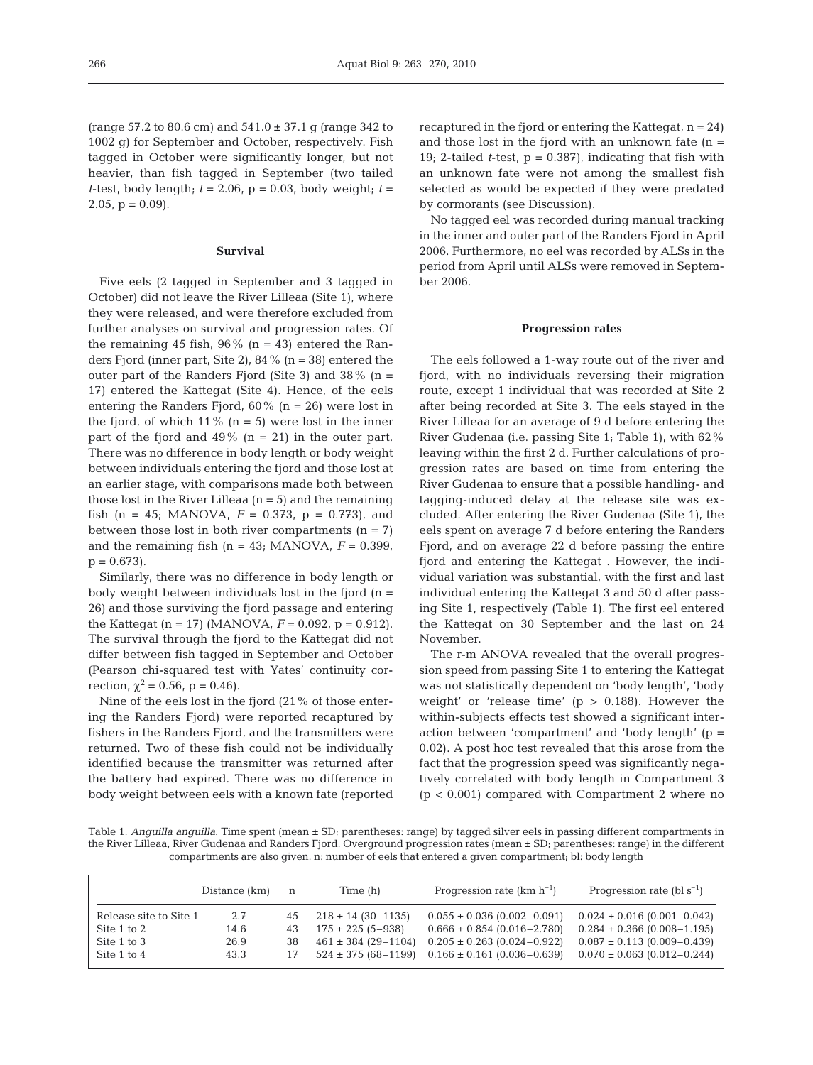(range 57.2 to 80.6 cm) and 541.0 ± 37.1 g (range 342 to 1002 g) for September and October, respectively. Fish tagged in October were significantly longer, but not heavier, than fish tagged in September (two tailed *t*-test, body length;  $t = 2.06$ ,  $p = 0.03$ , body weight;  $t =$ 2.05,  $p = 0.09$ .

# **Survival**

Five eels (2 tagged in September and 3 tagged in October) did not leave the River Lilleaa (Site 1), where they were released, and were therefore excluded from further analyses on survival and progression rates. Of the remaining 45 fish,  $96\%$  (n = 43) entered the Randers Fjord (inner part, Site 2), 84% (n = 38) entered the outer part of the Randers Fjord (Site 3) and  $38\%$  (n = 17) entered the Kattegat (Site 4). Hence, of the eels entering the Randers Fjord,  $60\%$  (n = 26) were lost in the fjord, of which  $11\%$  (n = 5) were lost in the inner part of the fjord and  $49\%$  (n = 21) in the outer part. There was no difference in body length or body weight between individuals entering the fjord and those lost at an earlier stage, with comparisons made both between those lost in the River Lilleaa  $(n = 5)$  and the remaining fish (n = 45; MANOVA,  $F = 0.373$ , p = 0.773), and between those lost in both river compartments  $(n = 7)$ and the remaining fish  $(n = 43; MANOVA, F = 0.399)$ ,  $p = 0.673$ .

Similarly, there was no difference in body length or body weight between individuals lost in the fjord  $(n =$ 26) and those surviving the fjord passage and entering the Kattegat (n = 17) (MANOVA, *F* = 0.092, p = 0.912). The survival through the fjord to the Kattegat did not differ between fish tagged in September and October (Pearson chi-squared test with Yates' continuity correction,  $\chi^2 = 0.56$ , p = 0.46).

Nine of the eels lost in the fjord (21% of those entering the Randers Fjord) were reported recaptured by fishers in the Randers Fjord, and the transmitters were returned. Two of these fish could not be individually identified because the transmitter was returned after the battery had expired. There was no difference in body weight between eels with a known fate (reported recaptured in the fjord or entering the Kattegat,  $n = 24$ ) and those lost in the fjord with an unknown fate  $(n =$ 19; 2-tailed *t*-test,  $p = 0.387$ , indicating that fish with an unknown fate were not among the smallest fish selected as would be expected if they were predated by cormorants (see Discussion).

No tagged eel was recorded during manual tracking in the inner and outer part of the Randers Fjord in April 2006. Furthermore, no eel was recorded by ALSs in the period from April until ALSs were removed in September 2006.

#### **Progression rates**

The eels followed a 1-way route out of the river and fjord, with no individuals reversing their migration route, except 1 individual that was recorded at Site 2 after being recorded at Site 3. The eels stayed in the River Lilleaa for an average of 9 d before entering the River Gudenaa (i.e. passing Site 1; Table 1), with 62% leaving within the first 2 d. Further calculations of progression rates are based on time from entering the River Gudenaa to ensure that a possible handling- and tagging-induced delay at the release site was excluded. After entering the River Gudenaa (Site 1), the eels spent on average 7 d before entering the Randers Fjord, and on average 22 d before passing the entire fjord and entering the Kattegat . However, the individual variation was substantial, with the first and last individual entering the Kattegat 3 and 50 d after passing Site 1, respectively (Table 1). The first eel entered the Kattegat on 30 September and the last on 24 November.

The r-m ANOVA revealed that the overall progression speed from passing Site 1 to entering the Kattegat was not statistically dependent on 'body length', 'body weight' or 'release time'  $(p > 0.188)$ . However the within-subjects effects test showed a significant interaction between 'compartment' and 'body length' (p = 0.02). A post hoc test revealed that this arose from the fact that the progression speed was significantly negatively correlated with body length in Compartment 3 (p < 0.001) compared with Compartment 2 where no

Table 1. *Anguilla anguilla*. Time spent (mean ± SD; parentheses: range) by tagged silver eels in passing different compartments in the River Lilleaa, River Gudenaa and Randers Fjord. Overground progression rates (mean ± SD; parentheses: range) in the different compartments are also given. n: number of eels that entered a given compartment; bl: body length

|                        | Distance (km) | n  | Time (h)                  | Progression rate $(km h^{-1})$    | Progression rate (bl $s^{-1}$ ) |
|------------------------|---------------|----|---------------------------|-----------------------------------|---------------------------------|
| Release site to Site 1 | 2.7           | 45 | $218 \pm 14$ (30-1135)    | $0.055 \pm 0.036$ (0.002-0.091)   | $0.024 \pm 0.016$ (0.001-0.042) |
| Site 1 to 2            | 14.6          | 43 | $175 \pm 225$ (5-938)     | $0.666 \pm 0.854 (0.016 - 2.780)$ | $0.284 \pm 0.366$ (0.008-1.195) |
| Site 1 to 3            | 26.9          | 38 | $461 \pm 384$ (29-1104)   | $0.205 \pm 0.263$ (0.024-0.922)   | $0.087 \pm 0.113$ (0.009-0.439) |
| Site 1 to 4            | 43.3          | 17 | $524 \pm 375 (68 - 1199)$ | $0.166 \pm 0.161 (0.036 - 0.639)$ | $0.070 \pm 0.063$ (0.012-0.244) |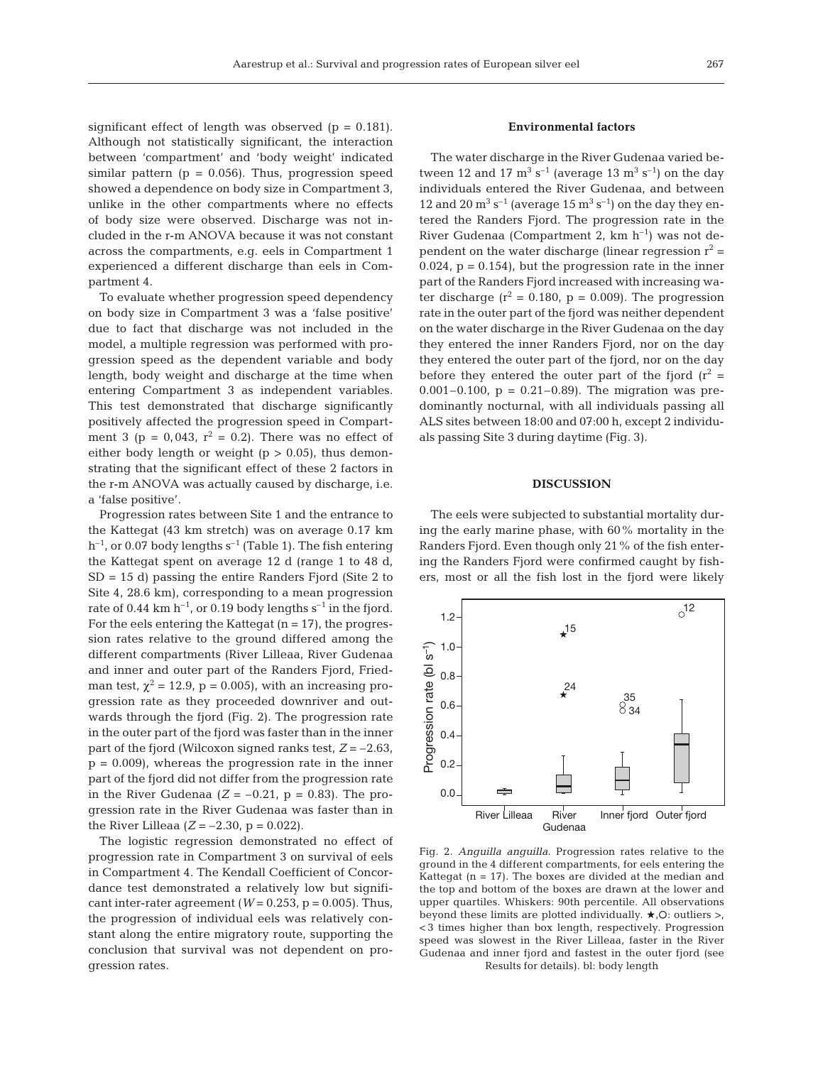significant effect of length was observed ( $p = 0.181$ ). Although not statistically significant, the interaction between 'compartment' and 'body weight' indicated similar pattern ( $p = 0.056$ ). Thus, progression speed showed a dependence on body size in Compartment 3, unlike in the other compartments where no effects of body size were observed. Discharge was not included in the r-m ANOVA because it was not constant across the compartments, e.g. eels in Compartment 1 experienced a different discharge than eels in Compartment 4.

To evaluate whether progression speed dependency on body size in Compartment 3 was a 'false positive' due to fact that discharge was not included in the model, a multiple regression was performed with progression speed as the dependent variable and body length, body weight and discharge at the time when entering Compartment 3 as independent variables. This test demonstrated that discharge significantly positively affected the progression speed in Compartment 3 (p = 0,043,  $r^2$  = 0.2). There was no effect of either body length or weight  $(p > 0.05)$ , thus demonstrating that the significant effect of these 2 factors in the r-m ANOVA was actually caused by discharge, i.e. a 'false positive'.

Progression rates between Site 1 and the entrance to the Kattegat (43 km stretch) was on average 0.17 km  $h^{-1}$ , or 0.07 body lengths s<sup>-1</sup> (Table 1). The fish entering the Kattegat spent on average 12 d (range 1 to 48 d,  $SD = 15$  d) passing the entire Randers Fjord (Site 2 to Site 4, 28.6 km), corresponding to a mean progression rate of 0.44 km  $h^{-1}$ , or 0.19 body lengths  $s^{-1}$  in the fjord. For the eels entering the Kattegat  $(n = 17)$ , the progression rates relative to the ground differed among the different compartments (River Lilleaa, River Gudenaa and inner and outer part of the Randers Fjord, Friedman test,  $\chi^2$  = 12.9, p = 0.005), with an increasing progression rate as they proceeded downriver and outwards through the fjord (Fig. 2). The progression rate in the outer part of the fjord was faster than in the inner part of the fjord (Wilcoxon signed ranks test, *Z* = –2.63,  $p = 0.009$ , whereas the progression rate in the inner part of the fjord did not differ from the progression rate in the River Gudenaa  $(Z = -0.21, p = 0.83)$ . The progression rate in the River Gudenaa was faster than in the River Lilleaa  $(Z = -2.30, p = 0.022)$ .

The logistic regression demonstrated no effect of progression rate in Compartment 3 on survival of eels in Compartment 4. The Kendall Coefficient of Concordance test demonstrated a relatively low but significant inter-rater agreement ( $W = 0.253$ ,  $p = 0.005$ ). Thus, the progression of individual eels was relatively constant along the entire migratory route, supporting the conclusion that survival was not dependent on progression rates.

# **Environmental factors**

The water discharge in the River Gudenaa varied between 12 and 17  $m^3 s^{-1}$  (average 13  $m^3 s^{-1}$ ) on the day individuals entered the River Gudenaa, and between 12 and 20  $\mathrm{m}^3 \mathrm{ s}^{-1}$  (average 15  $\mathrm{m}^3 \mathrm{ s}^{-1}$ ) on the day they entered the Randers Fjord. The progression rate in the River Gudenaa (Compartment 2,  $km h^{-1}$ ) was not dependent on the water discharge (linear regression  $r^2$  =  $0.024$ ,  $p = 0.154$ , but the progression rate in the inner part of the Randers Fjord increased with increasing water discharge ( $r^2 = 0.180$ ,  $p = 0.009$ ). The progression rate in the outer part of the fjord was neither dependent on the water discharge in the River Gudenaa on the day they entered the inner Randers Fjord, nor on the day they entered the outer part of the fjord, nor on the day before they entered the outer part of the fjord  $(r^2 =$ 0.001–0.100,  $p = 0.21-0.89$ . The migration was predominantly nocturnal, with all individuals passing all ALS sites between 18:00 and 07:00 h, except 2 individuals passing Site 3 during daytime (Fig. 3).

### **DISCUSSION**

The eels were subjected to substantial mortality during the early marine phase, with 60% mortality in the Randers Fjord. Even though only 21% of the fish entering the Randers Fjord were confirmed caught by fishers, most or all the fish lost in the fjord were likely



Fig. 2. *Anguilla anguilla*. Progression rates relative to the ground in the 4 different compartments, for eels entering the Kattegat  $(n = 17)$ . The boxes are divided at the median and the top and bottom of the boxes are drawn at the lower and upper quartiles. Whiskers: 90th percentile. All observations beyond these limits are plotted individually.  $\star$ , O: outliers >, < 3 times higher than box length, respectively. Progression speed was slowest in the River Lilleaa, faster in the River Gudenaa and inner fjord and fastest in the outer fjord (see Results for details). bl: body length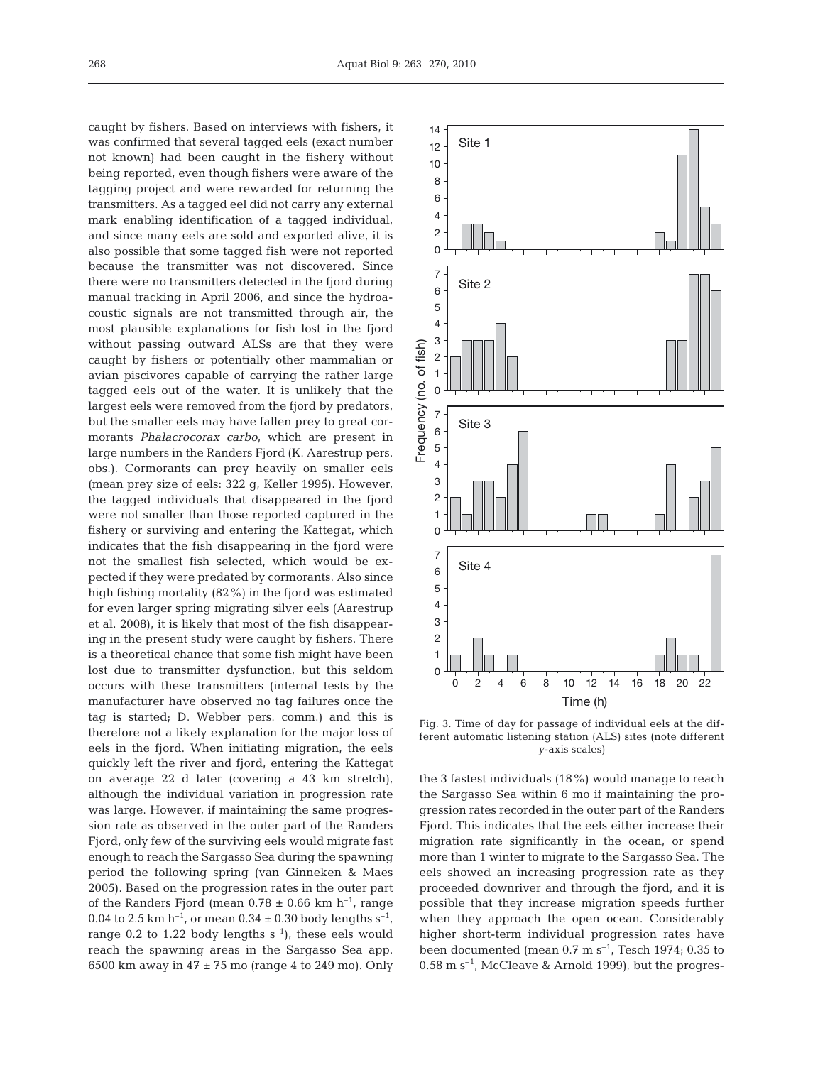268

caught by fishers. Based on interviews with fishers, it was confirmed that several tagged eels (exact number not known) had been caught in the fishery without being reported, even though fishers were aware of the tagging project and were rewarded for returning the transmitters. As a tagged eel did not carry any external mark enabling identification of a tagged individual, and since many eels are sold and exported alive, it is also possible that some tagged fish were not reported because the transmitter was not discovered. Since there were no transmitters detected in the fjord during manual tracking in April 2006, and since the hydroacoustic signals are not transmitted through air, the most plausible explanations for fish lost in the fjord without passing outward ALSs are that they were caught by fishers or potentially other mammalian or avian piscivores capable of carrying the rather large tagged eels out of the water. It is unlikely that the largest eels were removed from the fjord by predators, but the smaller eels may have fallen prey to great cormorants *Phalacrocorax carbo*, which are present in large numbers in the Randers Fjord (K. Aarestrup pers. obs.). Cormorants can prey heavily on smaller eels (mean prey size of eels: 322 g, Keller 1995). However, the tagged individuals that disappeared in the fjord were not smaller than those reported captured in the fishery or surviving and entering the Kattegat, which indicates that the fish disappearing in the fjord were not the smallest fish selected, which would be expected if they were predated by cormorants. Also since high fishing mortality (82%) in the fjord was estimated for even larger spring migrating silver eels (Aarestrup et al. 2008), it is likely that most of the fish disappearing in the present study were caught by fishers. There is a theoretical chance that some fish might have been lost due to transmitter dysfunction, but this seldom occurs with these transmitters (internal tests by the manufacturer have observed no tag failures once the tag is started; D. Webber pers. comm.) and this is therefore not a likely explanation for the major loss of eels in the fjord. When initiating migration, the eels quickly left the river and fjord, entering the Kattegat on average 22 d later (covering a 43 km stretch), although the individual variation in progression rate was large. However, if maintaining the same progression rate as observed in the outer part of the Randers Fjord, only few of the surviving eels would migrate fast enough to reach the Sargasso Sea during the spawning period the following spring (van Ginneken & Maes 2005). Based on the progression rates in the outer part of the Randers Fjord (mean  $0.78 \pm 0.66$  km h<sup>-1</sup>, range 0.04 to 2.5 km h<sup>-1</sup>, or mean  $0.34 \pm 0.30$  body lengths s<sup>-1</sup>, range 0.2 to 1.22 body lengths  $s^{-1}$ ), these eels would reach the spawning areas in the Sargasso Sea app. 6500 km away in  $47 \pm 75$  mo (range 4 to 249 mo). Only



Fig. 3. Time of day for passage of individual eels at the different automatic listening station (ALS) sites (note different *y*-axis scales)

the 3 fastest individuals (18%) would manage to reach the Sargasso Sea within 6 mo if maintaining the progression rates recorded in the outer part of the Randers Fjord. This indicates that the eels either increase their migration rate significantly in the ocean, or spend more than 1 winter to migrate to the Sargasso Sea. The eels showed an increasing progression rate as they proceeded downriver and through the fjord, and it is possible that they increase migration speeds further when they approach the open ocean. Considerably higher short-term individual progression rates have been documented (mean  $0.7 \text{ m s}^{-1}$ , Tesch 1974; 0.35 to  $0.58$  m s<sup>-1</sup>, McCleave & Arnold 1999), but the progres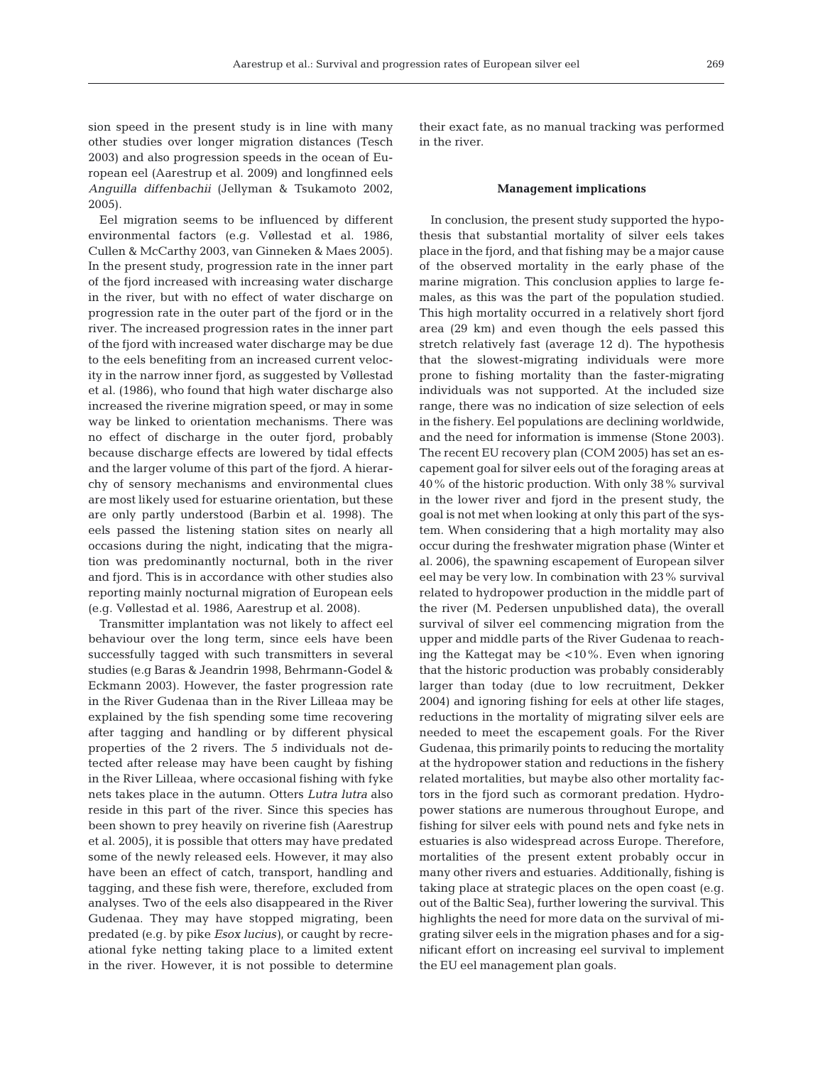sion speed in the present study is in line with many other studies over longer migration distances (Tesch 2003) and also progression speeds in the ocean of European eel (Aarestrup et al. 2009) and longfinned eels *Anguilla diffenbachii* (Jellyman & Tsukamoto 2002, 2005).

Eel migration seems to be influenced by different environmental factors (e.g. Vøllestad et al. 1986, Cullen & McCarthy 2003, van Ginneken & Maes 2005). In the present study, progression rate in the inner part of the fjord increased with increasing water discharge in the river, but with no effect of water discharge on progression rate in the outer part of the fjord or in the river. The increased progression rates in the inner part of the fjord with increased water discharge may be due to the eels benefiting from an increased current velocity in the narrow inner fjord, as suggested by Vøllestad et al. (1986), who found that high water discharge also increased the riverine migration speed, or may in some way be linked to orientation mechanisms. There was no effect of discharge in the outer fjord, probably because discharge effects are lowered by tidal effects and the larger volume of this part of the fjord. A hierarchy of sensory mechanisms and environmental clues are most likely used for estuarine orientation, but these are only partly understood (Barbin et al. 1998). The eels passed the listening station sites on nearly all occasions during the night, indicating that the migration was predominantly nocturnal, both in the river and fjord. This is in accordance with other studies also reporting mainly nocturnal migration of European eels (e.g. Vøllestad et al. 1986, Aarestrup et al. 2008).

Transmitter implantation was not likely to affect eel behaviour over the long term, since eels have been successfully tagged with such transmitters in several studies (e.g Baras & Jeandrin 1998, Behrmann-Godel & Eckmann 2003). However, the faster progression rate in the River Gudenaa than in the River Lilleaa may be explained by the fish spending some time recovering after tagging and handling or by different physical properties of the 2 rivers. The 5 individuals not detected after release may have been caught by fishing in the River Lilleaa, where occasional fishing with fyke nets takes place in the autumn. Otters *Lutra lutra* also reside in this part of the river. Since this species has been shown to prey heavily on riverine fish (Aarestrup et al. 2005), it is possible that otters may have predated some of the newly released eels. However, it may also have been an effect of catch, transport, handling and tagging, and these fish were, therefore, excluded from analyses. Two of the eels also disappeared in the River Gudenaa. They may have stopped migrating, been predated (e.g. by pike *Esox lucius)*, or caught by recreational fyke netting taking place to a limited extent in the river. However, it is not possible to determine

their exact fate, as no manual tracking was performed in the river.

### **Management implications**

In conclusion, the present study supported the hypothesis that substantial mortality of silver eels takes place in the fjord, and that fishing may be a major cause of the observed mortality in the early phase of the marine migration. This conclusion applies to large females, as this was the part of the population studied. This high mortality occurred in a relatively short fjord area (29 km) and even though the eels passed this stretch relatively fast (average 12 d). The hypothesis that the slowest-migrating individuals were more prone to fishing mortality than the faster-migrating individuals was not supported. At the included size range, there was no indication of size selection of eels in the fishery. Eel populations are declining worldwide, and the need for information is immense (Stone 2003). The recent EU recovery plan (COM 2005) has set an escapement goal for silver eels out of the foraging areas at 40% of the historic production. With only 38% survival in the lower river and fjord in the present study, the goal is not met when looking at only this part of the system. When considering that a high mortality may also occur during the freshwater migration phase (Winter et al. 2006), the spawning escapement of European silver eel may be very low. In combination with 23% survival related to hydropower production in the middle part of the river (M. Pedersen unpublished data), the overall survival of silver eel commencing migration from the upper and middle parts of the River Gudenaa to reaching the Kattegat may be <10%. Even when ignoring that the historic production was probably considerably larger than today (due to low recruitment, Dekker 2004) and ignoring fishing for eels at other life stages, reductions in the mortality of migrating silver eels are needed to meet the escapement goals. For the River Gudenaa, this primarily points to reducing the mortality at the hydropower station and reductions in the fishery related mortalities, but maybe also other mortality factors in the fjord such as cormorant predation. Hydropower stations are numerous throughout Europe, and fishing for silver eels with pound nets and fyke nets in estuaries is also widespread across Europe. Therefore, mortalities of the present extent probably occur in many other rivers and estuaries. Additionally, fishing is taking place at strategic places on the open coast (e.g. out of the Baltic Sea), further lowering the survival. This highlights the need for more data on the survival of migrating silver eels in the migration phases and for a significant effort on increasing eel survival to implement the EU eel management plan goals.